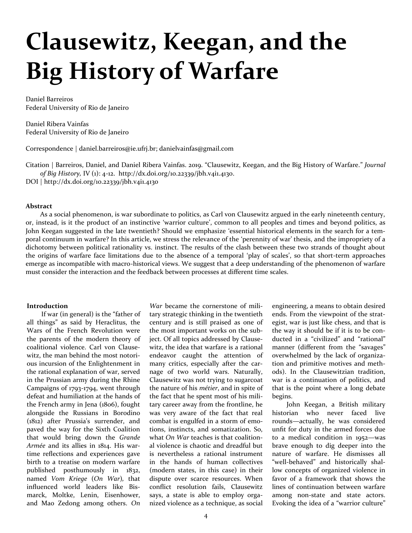# **Clausewitz, Keegan, and the Big History of Warfare**

Daniel Barreiros Federal University of Rio de Janeiro

Daniel Ribera Vainfas Federal University of Rio de Janeiro

Correspondence | [daniel.barreiros@ie.ufrj.br;](mailto:daniel.barreiros@ie.ufrj.br) danielvainfas@gmail.com

Citation | Barreiros, Daniel, and Daniel Ribera Vainfas. 2019. "Clausewitz, Keegan, and the Big History of Warfare." *Journal of Big History,* IV (1): 4-12. http://dx.doi.org/10.22339/jbh.v4i1.4130.

DOI | http://dx.doi.org/10.22339/jbh.v4i1.4130

#### **Abstract**

As a social phenomenon, is war subordinate to politics, as Carl von Clausewitz argued in the early nineteenth century, or, instead, is it the product of an instinctive 'warrior culture', common to all peoples and times and beyond politics, as John Keegan suggested in the late twentieth? Should we emphasize 'essential historical elements in the search for a temporal continuum in warfare? In this article, we stress the relevance of the 'perennity of war' thesis, and the impropriety of a dichotomy between political rationality vs. instinct. The results of the clash between these two strands of thought about the origins of warfare face limitations due to the absence of a temporal 'play of scales', so that short-term approaches emerge as incompatible with macro-historical views. We suggest that a deep understanding of the phenomenon of warfare must consider the interaction and the feedback between processes at different time scales.

#### **Introduction**

If war (in general) is the "father of all things" as said by Heraclitus, the Wars of the French Revolution were the parents of the modern theory of coalitional violence. Carl von Clausewitz, the man behind the most notorious incursion of the Enlightenment in the rational explanation of war, served in the Prussian army during the Rhine Campaigns of 1793-1794, went through defeat and humiliation at the hands of the French army in Jena (1806), fought alongside the Russians in Borodino (1812) after Prussia's surrender, and paved the way for the Sixth Coalition that would bring down the *Grande Armée* and its allies in 1814. His wartime reflections and experiences gave birth to a treatise on modern warfare published posthumously in 1832, named *Vom Kriege* (*On War*)*,* that influenced world leaders like Bismarck, Moltke, Lenin, Eisenhower, and Mao Zedong among others. *On* 

*War* became the cornerstone of military strategic thinking in the twentieth century and is still praised as one of the most important works on the subject. Of all topics addressed by Clausewitz, the idea that warfare is a rational endeavor caught the attention of many critics, especially after the carnage of two world wars. Naturally, Clausewitz was not trying to sugarcoat the nature of his *métier*, and in spite of the fact that he spent most of his military career away from the frontline, he was very aware of the fact that real combat is engulfed in a storm of emotions, instincts, and somatization. So, what *On War* teaches is that coalitional violence is chaotic and dreadful but is nevertheless a rational instrument in the hands of human collectives (modern states, in this case) in their dispute over scarce resources. When conflict resolution fails, Clausewitz says, a state is able to employ organized violence as a technique, as social

engineering, a means to obtain desired ends. From the viewpoint of the strategist, war is just like chess, and that is the way it should be if it is to be conducted in a "civilized" and "rational" manner (different from the "savages" overwhelmed by the lack of organization and primitive motives and methods). In the Clausewitzian tradition, war is a continuation of politics, and that is the point where a long debate begins.

John Keegan, a British military historian who never faced live rounds—actually, he was considered unfit for duty in the armed forces due to a medical condition in 1952—was brave enough to dig deeper into the nature of warfare. He dismisses all "well-behaved" and historically shallow concepts of organized violence in favor of a framework that shows the lines of continuation between warfare among non-state and state actors. Evoking the idea of a "warrior culture"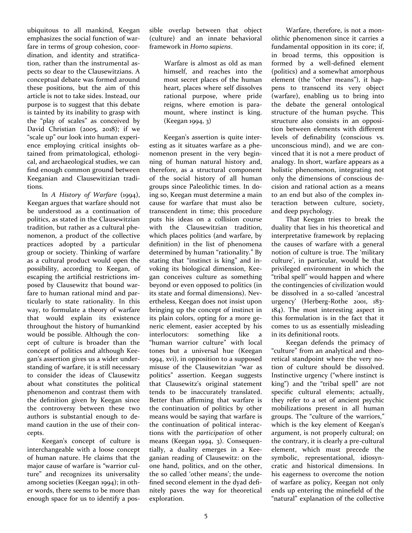ubiquitous to all mankind, Keegan emphasizes the social function of warfare in terms of group cohesion, coordination, and identity and stratification, rather than the instrumental aspects so dear to the Clausewitzians. A conceptual debate was formed around these positions, but the aim of this article is not to take sides. Instead, our purpose is to suggest that this debate is tainted by its inability to grasp with the "play of scales" as conceived by David Christian (2005, 2018); if we "scale up" our look into human experience employing critical insights obtained from primatological, ethological, and archaeological studies, we can find enough common ground between Keeganian and Clausewitizian traditions.

In *A History of Warfare* (1994), Keegan argues that warfare should not be understood as a continuation of politics, as stated in the Clausewitzian tradition, but rather as a cultural phenomenon, a product of the collective practices adopted by a particular group or society. Thinking of warfare as a cultural product would open the possibility, according to Keegan, of escaping the artificial restrictions imposed by Clausewitz that bound warfare to human rational mind and particularly to state rationality. In this way, to formulate a theory of warfare that would explain its existence throughout the history of humankind would be possible. Although the concept of culture is broader than the concept of politics and although Keegan's assertion gives us a wider understanding of warfare, it is still necessary to consider the ideas of Clausewitz about what constitutes the political phenomenon and contrast them with the definition given by Keegan since the controversy between these two authors is substantial enough to demand caution in the use of their concepts.

Keegan's concept of culture is interchangeable with a loose concept of human nature. He claims that the major cause of warfare is "warrior culture" and recognizes its universality among societies (Keegan 1994); in other words, there seems to be more than enough space for us to identify a possible overlap between that object (culture) and an innate behavioral framework in *Homo sapiens*.

> Warfare is almost as old as man himself, and reaches into the most secret places of the human heart, places where self dissolves rational purpose, where pride reigns, where emotion is paramount, where instinct is king. (Keegan 1994, 3)

Keegan's assertion is quite interesting as it situates warfare as a phenomenon present in the very beginning of human natural history and, therefore, as a structural component of the social history of all human groups since Paleolithic times. In doing so, Keegan must determine a main cause for warfare that must also be transcendent in time; this procedure puts his ideas on a collision course with the Clausewitzian tradition. which places politics (and warfare, by definition) in the list of phenomena determined by human "rationality." By stating that "instinct is king" and invoking its biological dimension, Keegan conceives culture as something beyond or even opposed to politics (in its state and formal dimensions). Nevertheless, Keegan does not insist upon bringing up the concept of instinct in its plain colors, opting for a more generic element, easier accepted by his interlocutors: something like a "human warrior culture" with local tones but a universal hue (Keegan 1994, xvi), in opposition to a supposed misuse of the Clausewitzian "war as politics" assertion. Keegan suggests that Clausewitz's original statement tends to be inaccurately translated. Better than affirming that warfare is the continuation of politics by other means would be saying that warfare is the continuation of political interactions with the *participation* of other means (Keegan 1994, 3). Consequentially, a duality emerges in a Keeganian reading of Clausewitz: on the one hand, politics, and on the other, the so called 'other means'; the undefined second element in the dyad definitely paves the way for theoretical exploration.

Warfare, therefore, is not a monolithic phenomenon since it carries a fundamental opposition in its core; if, in broad terms, this opposition is formed by a well-defined element (politics) and a somewhat amorphous element (the "other means"), it happens to transcend its very object (warfare), enabling us to bring into the debate the general ontological structure of the human psyche. This structure also consists in an opposition between elements with different levels of definability (conscious vs*.*  unconscious mind), and we are convinced that it is not a mere product of analogy. In short, warfare appears as a holistic phenomenon, integrating not only the dimensions of conscious decision and rational action as a means to an end but also of the complex interaction between culture, society, and deep psychology.

That Keegan tries to break the duality that lies in his theoretical and interpretative framework by replacing the causes of warfare with a general notion of culture is true. The 'military culture', in particular, would be that privileged environment in which the "tribal spell" would happen and where the contingencies of civilization would be dissolved in a so-called 'ancestral urgency' (Herberg-Rothe 2001, 183- 184). The most interesting aspect in this formulation is in the fact that it comes to us as essentially misleading in its definitional roots.

Keegan defends the primacy of "culture" from an analytical and theoretical standpoint where the very notion of culture should be dissolved. Instinctive urgency ("where instinct is king") and the "tribal spell" are not specific cultural elements; actually, they refer to a set of ancient psychic mobilizations present in all human groups. The "culture of the warriors," which is the key element of Keegan's argument, is not properly cultural; on the contrary, it is clearly a pre-cultural element, which must precede the symbolic, representational, idiosyncratic and historical dimensions. In his eagerness to overcome the notion of warfare as policy, Keegan not only ends up entering the minefield of the "natural" explanation of the collective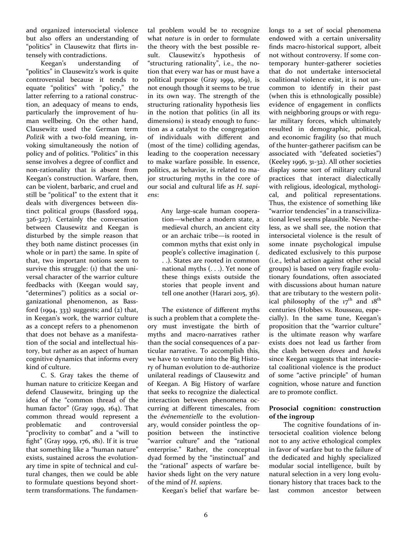and organized intersocietal violence but also offers an understanding of "politics" in Clausewitz that flirts intensely with contradictions.

Keegan's understanding of "politics" in Clausewitz's work is quite controversial because it tends to equate "politics" with "policy," the latter referring to a rational construction, an adequacy of means to ends, particularly the improvement of human wellbeing. On the other hand, Clausewitz used the German term *Politik* with a two-fold meaning, invoking simultaneously the notion of policy and of politics. "Politics" in this sense involves a degree of conflict and non-rationality that is absent from Keegan's construction. Warfare, then, can be violent, barbaric, and cruel and still be "political" to the extent that it deals with divergences between distinct political groups (Bassford 1994, 326-327). Certainly the conversation between Clausewitz and Keegan is disturbed by the simple reason that they both name distinct processes (in whole or in part) the same. In spite of that, two important notions seem to survive this struggle: (1) that the universal character of the warrior culture feedbacks with (Keegan would say, "determines") politics as a social organizational phenomenon, as Bassford  $(1994, 333)$  suggests; and  $(2)$  that, in Keegan's work, the warrior culture as a concept refers to a phenomenon that does not behave as a manifestation of the social and intellectual history, but rather as an aspect of human cognitive dynamics that informs every kind of culture.

C. S. Gray takes the theme of human nature to criticize Keegan and defend Clausewitz, bringing up the idea of the "common thread of the human factor" (Gray 1999, 164). That common thread would represent a problematic and controversial "proclivity to combat" and a "will to fight" (Gray 1999, 176, 181). If it is true that something like a "human nature" exists, sustained across the evolutionary time in spite of technical and cultural changes, then we could be able to formulate questions beyond shortterm transformations. The fundamen-

tal problem would be to recognize what *nature* is in order to formulate the theory with the best possible result. Clausewitz's hypothesis of "structuring rationality", i.e., the notion that every war has or must have a political purpose (Gray 1999, 169), is not enough though it seems to be true in its own way. The strength of the structuring rationality hypothesis lies in the notion that politics (in all its dimensions) is steady enough to function as a catalyst to the congregation of individuals with different and (most of the time) colliding agendas, leading to the cooperation necessary to make warfare possible. In essence, politics, as behavior, is related to major structuring myths in the core of our social and cultural life as *H. sapiens*:

> Any large-scale human cooperation—whether a modern state, a medieval church, an ancient city or an archaic tribe—is rooted in common myths that exist only in people's collective imagination (. . .). States are rooted in common national myths (. . .). Yet none of these things exists outside the stories that people invent and tell one another (Harari 2015, 36).

The existence of different myths is such a problem that a complete theory must investigate the birth of myths and macro-narratives rather than the social consequences of a particular narrative. To accomplish this, we have to venture into the Big History of human evolution to de-authorize unilateral readings of Clausewitz and of Keegan. A Big History of warfare that seeks to recognize the dialectical interaction between phenomena occurring at different timescales, from the *événementielle* to the evolutionary, would consider pointless the opposition between the instinctive "warrior culture" and the "rational enterprise." Rather, the conceptual dyad formed by the "instinctual" and the "rational" aspects of warfare behavior sheds light on the very nature of the mind of *H. sapiens*.

longs to a set of social phenomena endowed with a certain universality finds macro-historical support, albeit not without controversy. If some contemporary hunter-gatherer societies that do not undertake intersocietal coalitional violence exist, it is not uncommon to identify in their past (when this is ethnologically possible) evidence of engagement in conflicts with neighboring groups or with regular military forces, which ultimately resulted in demographic, political, and economic fragility (so that much of the hunter-gatherer pacifism can be associated with "defeated societies") (Keeley 1996, 31-32). All other societies display some sort of military cultural practices that interact dialectically with religious, ideological, mythological, and political representations. Thus, the existence of something like "warrior tendencies" in a transcivilizational level seems plausible. Nevertheless, as we shall see, the notion that intersocietal violence is the result of some innate psychological impulse dedicated exclusively to this purpose (i.e., lethal action against other social groups) is based on very fragile evolutionary foundations, often associated with discussions about human nature that are tributary to the western political philosophy of the  $17^{\text{th}}$  and  $18^{\text{th}}$ centuries (Hobbes vs. Rousseau, especially). In the same tune, Keegan's proposition that the "warrior culture" is the ultimate reason why warfare exists does not lead us farther from the clash between *doves* and *hawks* since Keegan suggests that intersocietal coalitional violence is the product of some "active principle" of human cognition, whose nature and function are to promote conflict.

## **Prosocial cognition: construction of the ingroup**

The cognitive foundations of intersocietal coalition violence belong not to any active ethological complex in favor of warfare but to the failure of the dedicated and highly specialized modular social intelligence, built by natural selection in a very long evolutionary history that traces back to the last common ancestor between

Keegan's belief that warfare be-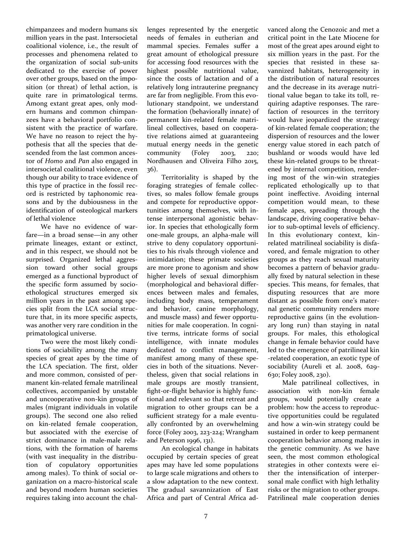chimpanzees and modern humans six million years in the past. Intersocietal coalitional violence, i.e., the result of processes and phenomena related to the organization of social sub-units dedicated to the exercise of power over other groups, based on the imposition (or threat) of lethal action, is quite rare in primatological terms. Among extant great apes, only modern humans and common chimpanzees have a behavioral portfolio consistent with the practice of warfare. We have no reason to reject the hypothesis that all the species that descended from the last common ancestor of *Homo* and *Pan* also engaged in intersocietal coalitional violence, even though our ability to trace evidence of this type of practice in the fossil record is restricted by taphonomic reasons and by the dubiousness in the identification of osteological markers of lethal violence

We have no evidence of warfare—in a broad sense—in any other primate lineages, extant or extinct, and in this respect, we should not be surprised. Organized lethal aggression toward other social groups emerged as a functional byproduct of the specific form assumed by socioethological structures emerged six million years in the past among species split from the LCA social structure that, in its more specific aspects, was another very rare condition in the primatological universe.

Two were the most likely conditions of sociability among the many species of great apes by the time of the LCA speciation. The first, older and more common, consisted of permanent kin-related female matrilineal collectives, accompanied by unstable and uncooperative non-kin groups of males (migrant individuals in volatile groups). The second one also relied on kin-related female cooperation, but associated with the exercise of strict dominance in male-male relations, with the formation of harems (with vast inequality in the distribution of copulatory opportunities among males). To think of social organization on a macro-historical scale and beyond modern human societies requires taking into account the challenges represented by the energetic needs of females in eutherian and mammal species. Females suffer a great amount of ethological pressure for accessing food resources with the highest possible nutritional value, since the costs of lactation and of a relatively long intrauterine pregnancy are far from negligible. From this evolutionary standpoint, we understand the formation (behaviorally innate) of permanent kin-related female matrilineal collectives, based on cooperative relations aimed at guaranteeing mutual energy needs in the genetic community (Foley 2003, 220; Nordhausen and Oliveira Filho 2015, 36).

Territoriality is shaped by the foraging strategies of female collectives, so males follow female groups and compete for reproductive opportunities among themselves, with intense interpersonal agonistic behavior. In species that ethologically form one-male groups, an alpha-male will strive to deny copulatory opportunities to his rivals through violence and intimidation; these primate societies are more prone to agonism and show higher levels of sexual dimorphism (morphological and behavioral differences between males and females, including body mass, temperament and behavior, canine morphology, and muscle mass) and fewer opportunities for male cooperation. In cognitive terms, intricate forms of social intelligence, with innate modules dedicated to conflict management, manifest among many of these species in both of the situations. Nevertheless, given that social relations in male groups are mostly transient, fight-or-flight behavior is highly functional and relevant so that retreat and migration to other groups can be a sufficient strategy for a male eventually confronted by an overwhelming force (Foley 2003, 223-224; Wrangham and Peterson 1996, 131).

An ecological change in habitats occupied by certain species of great apes may have led some populations to large scale migrations and others to a slow adaptation to the new context. The gradual savannization of East Africa and part of Central Africa advanced along the Cenozoic and met a critical point in the Late Miocene for most of the great apes around eight to six million years in the past. For the species that resisted in these savannized habitats, heterogeneity in the distribution of natural resources and the decrease in its average nutritional value began to take its toll, requiring adaptive responses. The rarefaction of resources in the territory would have jeopardized the strategy of kin-related female cooperation; the dispersion of resources and the lower energy value stored in each patch of bushland or woods would have led these kin-related groups to be threatened by internal competition, rendering most of the win-win strategies replicated ethologically up to that point ineffective. Avoiding internal competition would mean, to these female apes, spreading through the landscape, driving cooperative behavior to sub-optimal levels of efficiency. In this evolutionary context, kinrelated matrilineal sociability is disfavored, and female migration to other groups as they reach sexual maturity becomes a pattern of behavior gradually fixed by natural selection in these species. This means, for females, that disputing resources that are more distant as possible from one's maternal genetic community renders more reproductive gains (in the evolutionary long run) than staying in natal groups. For males, this ethological change in female behavior could have led to the emergence of patrilineal kin -related cooperation, an exotic type of sociability (Aureli et al. 2008, 629- 630; Foley 2008, 230).

Male patrilineal collectives, in association with non-kin female groups, would potentially create a problem: how the access to reproductive opportunities could be regulated and how a win-win strategy could be sustained in order to keep permanent cooperation behavior among males in the genetic community. As we have seen, the most common ethological strategies in other contexts were either the intensification of interpersonal male conflict with high lethality risks or the migration to other groups. Patrilineal male cooperation denies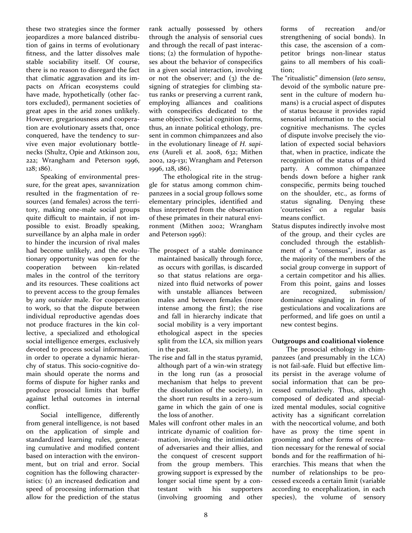these two strategies since the former jeopardizes a more balanced distribution of gains in terms of evolutionary fitness, and the latter dissolves male stable sociability itself. Of course, there is no reason to disregard the fact that climatic aggravation and its impacts on African ecosystems could have made, hypothetically (other factors excluded), permanent societies of great apes in the arid zones unlikely. However, gregariousness and cooperation are evolutionary assets that, once conquered, have the tendency to survive even major evolutionary bottlenecks (Shultz, Opie and Atkinson 2011, 222; Wrangham and Peterson 1996, 128; 186).

Speaking of environmental pressure, for the great apes, savannization resulted in the fragmentation of resources (and females) across the territory, making one-male social groups quite difficult to maintain, if not impossible to exist. Broadly speaking, surveillance by an alpha male in order to hinder the incursion of rival males had become unlikely, and the evolutionary opportunity was open for the cooperation between kin-related males in the control of the territory and its resources. These coalitions act to prevent access to the group females by any *outsider* male. For cooperation to work, so that the dispute between individual reproductive agendas does not produce fractures in the kin collective, a specialized and ethological social intelligence emerges, exclusively devoted to process social information, in order to operate a dynamic hierarchy of status. This socio-cognitive domain should operate the norms and forms of dispute for higher ranks and produce prosocial limits that buffer against lethal outcomes in internal conflict.

Social intelligence, differently from general intelligence, is not based on the application of simple and standardized learning rules, generating cumulative and modified content based on interaction with the environment, but on trial and error. Social cognition has the following characteristics: (1) an increased dedication and speed of processing information that allow for the prediction of the status

rank actually possessed by others through the analysis of sensorial cues and through the recall of past interactions; (2) the formulation of hypotheses about the behavior of conspecifics in a given social interaction, involving or not the observer; and  $(3)$  the designing of strategies for climbing status ranks or preserving a current rank, employing alliances and coalitions with conspecifics dedicated to the same objective. Social cognition forms, thus, an innate political ethology, present in common chimpanzees and also in the evolutionary lineage of *H. sapiens* (Aureli et al. 2008, 632; Mithen 2002, 129-131; Wrangham and Peterson 1996, 128, 186).

The ethological rite in the struggle for status among common chimpanzees in a social group follows some elementary principles, identified and thus interpreted from the observation of these primates in their natural environment (Mithen 2002; Wrangham and Peterson 1996):

- The prospect of a stable dominance maintained basically through force, as occurs with gorillas, is discarded so that status relations are organized into fluid networks of power with unstable alliances between males and between females (more intense among the first); the rise and fall in hierarchy indicate that social mobility is a very important ethological aspect in the species split from the LCA, six million years in the past.
- The rise and fall in the status pyramid, although part of a win-win strategy in the long run (as a prosocial mechanism that helps to prevent the dissolution of the society), in the short run results in a zero-sum game in which the gain of one is the loss of another.
- Males will confront other males in an intricate dynamic of coalition formation, involving the intimidation of adversaries and their allies, and the conquest of crescent support from the group members. This growing support is expressed by the longer social time spent by a contestant with his supporters (involving grooming and other

forms of recreation and/or strengthening of social bonds). In this case, the ascension of a competitor brings non-linear status gains to all members of his coalition;

- The "ritualistic" dimension (*lato sensu*, devoid of the symbolic nature present in the culture of modern humans) is a crucial aspect of disputes of status because it provides rapid sensorial information to the social cognitive mechanisms. The cycles of dispute involve precisely the violation of expected social behaviors that, when in practice, indicate the recognition of the status of a third party. A common chimpanzee bends down before a higher rank conspecific, permits being touched on the shoulder, etc., as forms of status signaling. Denying these 'courtesies' on a regular basis means conflict.
- Status disputes indirectly involve most of the group, and their cycles are concluded through the establishment of a "consensus", insofar as the majority of the members of the social group converge in support of a certain competitor and his allies. From this point, gains and losses are recognized, submission/ dominance signaling in form of gesticulations and vocalizations are performed, and life goes on until a new contest begins.

## O**utgroups and coalitional violence**

The prosocial ethology in chimpanzees (and presumably in the LCA) is not fail-safe. Fluid but effective limits persist in the average volume of social information that can be processed cumulatively. Thus, although composed of dedicated and specialized mental modules, social cognitive activity has a significant correlation with the neocortical volume, and both have as proxy the time spent in grooming and other forms of recreation necessary for the renewal of social bonds and for the reaffirmation of hierarchies. This means that when the number of relationships to be processed exceeds a certain limit (variable according to encephalization, in each species), the volume of sensory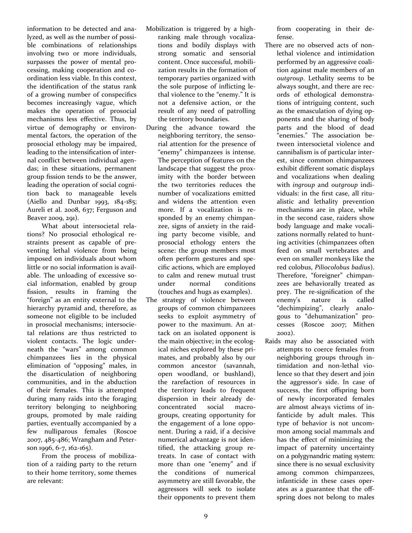information to be detected and analyzed, as well as the number of possible combinations of relationships involving two or more individuals, surpasses the power of mental processing, making cooperation and coordination less viable. In this context, the identification of the status rank of a growing number of conspecifics becomes increasingly vague, which makes the operation of prosocial mechanisms less effective. Thus, by virtue of demography or environmental factors, the operation of the prosocial ethology may be impaired, leading to the intensification of internal conflict between individual agendas; in these situations, permanent group fission tends to be the answer, leading the operation of social cognition back to manageable levels (Aiello and Dunbar 1993, 184-185; Aureli et al. 2008, 637; Ferguson and Beaver 2009, 291).

What about intersocietal relations? No prosocial ethological restraints present as capable of preventing lethal violence from being imposed on individuals about whom little or no social information is available. The unloading of excessive social information, enabled by group fission, results in framing the "foreign" as an entity external to the hierarchy pyramid and, therefore, as someone not eligible to be included in prosocial mechanisms; intersocietal relations are thus restricted to violent contacts. The logic underneath the "wars" among common chimpanzees lies in the physical elimination of "opposing" males, in the disarticulation of neighboring communities, and in the abduction of their females. This is attempted during many raids into the foraging territory belonging to neighboring groups, promoted by male raiding parties, eventually accompanied by a few nulliparous females (Roscoe 2007, 485-486; Wrangham and Peterson 1996, 6-7, 162-165).

From the process of mobilization of a raiding party to the return to their home territory, some themes are relevant:

- Mobilization is triggered by a highranking male through vocalizations and bodily displays with strong somatic and sensorial content. Once successful, mobilization results in the formation of temporary parties organized with the sole purpose of inflicting lethal violence to the "enemy." It is not a defensive action, or the result of any need of patrolling the territory boundaries.
- During the advance toward the neighboring territory, the sensorial attention for the presence of "enemy" chimpanzees is intense. The perception of features on the landscape that suggest the proximity with the border between the two territories reduces the number of vocalizations emitted and widens the attention even more. If a vocalization is responded by an enemy chimpanzee, signs of anxiety in the raiding party become visible, and prosocial ethology enters the scene: the group members most often perform gestures and specific actions, which are employed to calm and renew mutual trust under normal conditions (touches and hugs as examples).
- The strategy of violence between groups of common chimpanzees seeks to exploit asymmetry of power to the maximum. An attack on an isolated opponent is the main objective; in the ecological niches explored by these primates, and probably also by our common ancestor (savannah, open woodland, or bushland), the rarefaction of resources in the territory leads to frequent dispersion in their already deconcentrated social macrogroups, creating opportunity for the engagement of a lone opponent. During a raid, if a decisive numerical advantage is not identified, the attacking group retreats. In case of contact with more than one "enemy" and if the conditions of numerical asymmetry are still favorable, the aggressors will seek to isolate their opponents to prevent them

from cooperating in their defense.

- There are no observed acts of nonlethal violence and intimidation performed by an aggressive coalition against male members of an *outgroup*. Lethality seems to be always sought, and there are records of ethological demonstrations of intriguing content, such as the emasculation of dying opponents and the sharing of body parts and the blood of dead "enemies." The association between intersocietal violence and cannibalism is of particular interest, since common chimpanzees exhibit different somatic displays and vocalizations when dealing with *ingroup* and *outgroup* individuals: in the first case, all ritualistic and lethality prevention mechanisms are in place, while in the second case, raiders show body language and make vocalizations normally related to hunting activities (chimpanzees often feed on small vertebrates and even on smaller monkeys like the red colobus, *Piliocolobus badius*). Therefore, "foreigner" chimpanzees are behaviorally treated as prey. The re-signification of the enemy's nature is called "dechimpizing", clearly analogous to "dehumanization" processes (Roscoe 2007; Mithen 2002).
- Raids may also be associated with attempts to coerce females from neighboring groups through intimidation and non-lethal violence so that they desert and join the aggressor's side. In case of success, the first offspring born of newly incorporated females are almost always victims of infanticide by adult males. This type of behavior is not uncommon among social mammals and has the effect of minimizing the impact of paternity uncertainty on a polygynandric mating system: since there is no sexual exclusivity among common chimpanzees, infanticide in these cases operates as a guarantee that the offspring does not belong to males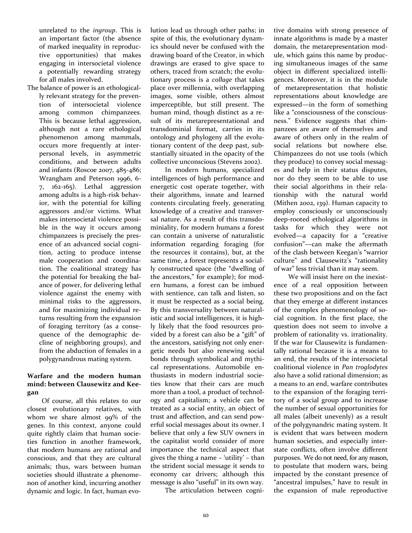unrelated to the *ingroup*. This is an important factor (the absence of marked inequality in reproductive opportunities) that makes engaging in intersocietal violence a potentially rewarding strategy for all males involved.

The balance of power is an ethologically relevant strategy for the prevention of intersocietal violence among common chimpanzees. This is because lethal aggression, although not a rare ethological phenomenon among mammals, occurs more frequently at interpersonal levels, in asymmetric conditions, and between adults and infants (Roscoe 2007, 485-486; Wrangham and Peterson 1996, 6- 7, 162-165). Lethal aggression among adults is a high-risk behavior, with the potential for killing aggressors and/or victims. What makes intersocietal violence possible in the way it occurs among chimpanzees is precisely the presence of an advanced social cognition, acting to produce intense male cooperation and coordination. The coalitional strategy has the potential for breaking the balance of power, for delivering lethal violence against the enemy with minimal risks to the aggressors, and for maximizing individual returns resulting from the expansion of foraging territory (as a consequence of the demographic decline of neighboring groups), and from the abduction of females in a polygynandrous mating system.

# **Warfare and the modern human mind: between Clausewitz and Keegan**

Of course, all this relates to our closest evolutionary relatives, with whom we share almost 99% of the genes. In this context, anyone could quite rightly claim that human societies function in another framework, that modern humans are rational and conscious, and that they are cultural animals; thus, wars between human societies should illustrate a phenomenon of another kind, incurring another dynamic and logic. In fact, human evolution lead us through other paths; in spite of this, the evolutionary dynamics should never be confused with the drawing board of the Creator, in which drawings are erased to give space to others, traced from scratch; the evolutionary process is a *collage* that takes place over millennia, with overlapping images, some visible, others almost imperceptible, but still present. The human mind, though distinct as a result of its metarepresentational and transdominial format, carries in its ontology and phylogeny all the evolutionary content of the deep past, substantially situated in the opacity of the collective unconscious (Stevens 2002).

In modern humans, specialized intelligences of high performance and energetic cost operate together, with their algorithms, innate and learned contents circulating freely, generating knowledge of a creative and transversal nature. As a result of this transdominiality, for modern humans a forest can contain a universe of naturalistic information regarding foraging (for the resources it contains), but, at the same time, a forest represents a socially constructed space (the "dwelling of the ancestors," for example); for modern humans, a forest can be imbued with sentience, can talk and listen, so it must be respected as a social being. By this transversality between naturalistic and social intelligences, it is highly likely that the food resources provided by a forest can also be a "gift" of the ancestors, satisfying not only energetic needs but also renewing social bonds through symbolical and mythical representations. Automobile enthusiasts in modern industrial societies know that their cars are much more than a tool, a product of technology and capitalism; a vehicle can be treated as a social entity, an object of trust and affection, and can send powerful social messages about its owner. I believe that only a few SUV owners in the capitalist world consider of more importance the technical aspect that gives the thing a name – 'utility' – than the strident social message it sends to economy car drivers; although this message is also "useful" in its own way.

The articulation between cogni-

tive domains with strong presence of innate algorithms is made by a master domain, the metarepresentation module, which gains this name by producing simultaneous images of the same object in different specialized intelligences. Moreover, it is in the module of metarepresentation that holistic representations about knowledge are expressed—in the form of something like a "consciousness of the consciousness." Evidence suggests that chimpanzees are aware of themselves and aware of others only in the realm of social relations but nowhere else. Chimpanzees do not use tools (which they produce) to convey social messages and help in their status disputes, nor do they seem to be able to use their social algorithms in their relationship with the natural world (Mithen 2002, 139). Human capacity to employ consciously or unconsciously deep-rooted ethological algorithms in tasks for which they were not evolved—a capacity for a "creative confusion"—can make the aftermath of the clash between Keegan's "warrior culture" and Clausewitz's "rationality of war" less trivial than it may seem.

We will insist here on the inexistence of a real opposition between these two propositions and on the fact that they emerge at different instances of the complex phenomenology of social cognition. In the first place, the question does not seem to involve a problem of rationality vs. irrationality. If the war for Clausewitz is fundamentally rational because it is a means to an end, the results of the intersocietal coalitional violence in *Pan troglodytes* also have a solid rational dimension; as a means to an end, warfare contributes to the expansion of the foraging territory of a social group and to increase the number of sexual opportunities for all males (albeit unevenly) as a result of the polygynandric mating system. It is evident that wars between modern human societies, and especially interstate conflicts, often involve different purposes. We do not need, for any reason, to postulate that modern wars, being impacted by the constant presence of "ancestral impulses," have to result in the expansion of male reproductive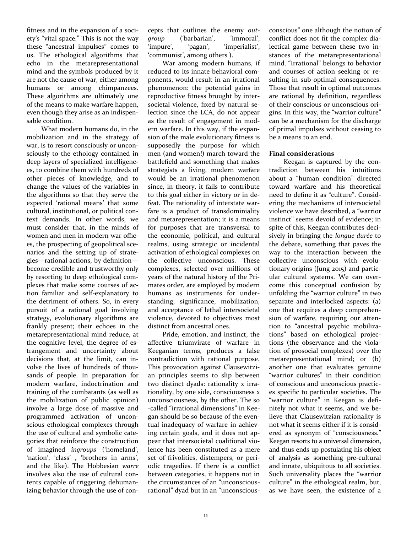fitness and in the expansion of a society's "vital space." This is not the way these "ancestral impulses" comes to us. The ethological algorithms that echo in the metarepresentational mind and the symbols produced by it are not the cause of war, either among humans or among chimpanzees. These algorithms are ultimately one of the means to make warfare happen, even though they arise as an indispensable condition.

What modern humans do, in the mobilization and in the strategy of war, is to resort consciously or unconsciously to the ethology contained in deep layers of specialized intelligences, to combine them with hundreds of other pieces of knowledge, and to change the values of the variables in the algorithms so that they serve the expected 'rational means' that some cultural, institutional, or political context demands. In other words, we must consider that, in the minds of women and men in modern war offices, the prospecting of geopolitical scenarios and the setting up of strategies—rational actions, by definition become credible and trustworthy only by resorting to deep ethological complexes that make some courses of action familiar and self-explanatory to the detriment of others. So, in every pursuit of a rational goal involving strategy, evolutionary algorithms are frankly present; their echoes in the metarepresentational mind reduce, at the cognitive level, the degree of estrangement and uncertainty about decisions that, at the limit, can involve the lives of hundreds of thousands of people. In preparation for modern warfare, indoctrination and training of the combatants (as well as the mobilization of public opinion) involve a large dose of massive and programmed activation of unconscious ethological complexes through the use of cultural and symbolic categories that reinforce the construction of imagined *ingroups* ('homeland', 'nation', 'class' , 'brothers in arms', and the like). The Hobbesian *warre*  involves also the use of cultural contents capable of triggering dehumanizing behavior through the use of concepts that outlines the enemy *outgroup* ('barbarian', 'immoral', 'impure', 'pagan', 'imperialist', 'communist', among others ).

War among modern humans, if reduced to its innate behavioral components, would result in an irrational phenomenon: the potential gains in reproductive fitness brought by intersocietal violence, fixed by natural selection since the LCA, do not appear as the result of engagement in modern warfare. In this way, if the expansion of the male evolutionary fitness is supposedly the purpose for which men (and women!) march toward the battlefield and something that makes strategists a living, modern warfare would be an irrational phenomenon since, in theory, it fails to contribute to this goal either in victory or in defeat. The rationality of interstate warfare is a product of transdominiality and metarepresentation; it is a means for purposes that are transversal to the economic, political, and cultural realms, using strategic or incidental activation of ethological complexes on the collective unconscious. These complexes, selected over millions of years of the natural history of the Primates order, are employed by modern humans as instruments for understanding, significance, mobilization, and acceptance of lethal intersocietal violence, devoted to objectives most distinct from ancestral ones.

Pride, emotion, and instinct, the affective triumvirate of warfare in Keeganian terms, produces a false contradiction with rational purpose. This provocation against Clausewitzian principles seems to slip between two distinct dyads: rationality x irrationality, by one side, consciousness x unconsciousness, by the other. The so -called "irrational dimensions" in Keegan should be so because of the eventual inadequacy of warfare in achieving certain goals, and it does not appear that intersocietal coalitional violence has been constituted as a mere set of frivolities, distempers, or periodic tragedies. If there is a conflict between categories, it happens not in the circumstances of an "unconsciousrational" dyad but in an "unconsciousconscious" one although the notion of conflict does not fit the complex dialectical game between these two instances of the metarepresentational mind. "Irrational" belongs to behavior and courses of action seeking or resulting in sub-optimal consequences. Those that result in optimal outcomes are rational by definition, regardless of their conscious or unconscious origins. In this way, the "warrior culture" can be a mechanism for the discharge of primal impulses without ceasing to be a means to an end.

### **Final considerations**

Keegan is captured by the contradiction between his intuitions about a "human condition" directed toward warfare and his theoretical need to define it as "culture". Considering the mechanisms of intersocietal violence we have described, a "warrior instinct" seems devoid of evidence; in spite of this, Keegan contributes decisively in bringing the *longue durée* to the debate, something that paves the way to the interaction between the collective unconscious with evolutionary origins (Jung 2015) and particular cultural systems. We can overcome this conceptual confusion by unfolding the "warrior culture" in two separate and interlocked aspects: (a) one that requires a deep comprehension of warfare, requiring our attention to "ancestral psychic mobilizations" based on ethological projections (the observance and the violation of prosocial complexes) over the metarepresentational mind; or (b) another one that evaluates genuine "warrior cultures" in their condition of conscious and unconscious practices specific to particular societies. The "warrior culture" in Keegan is definitely not what it seems, and we believe that Clausewitzian rationality is not what it seems either if it is considered as synonym of "consciousness." Keegan resorts to a universal dimension, and thus ends up postulating his object of analysis as something pre-cultural and innate, ubiquitous to all societies. Such universality places the "warrior culture" in the ethological realm, but, as we have seen, the existence of a